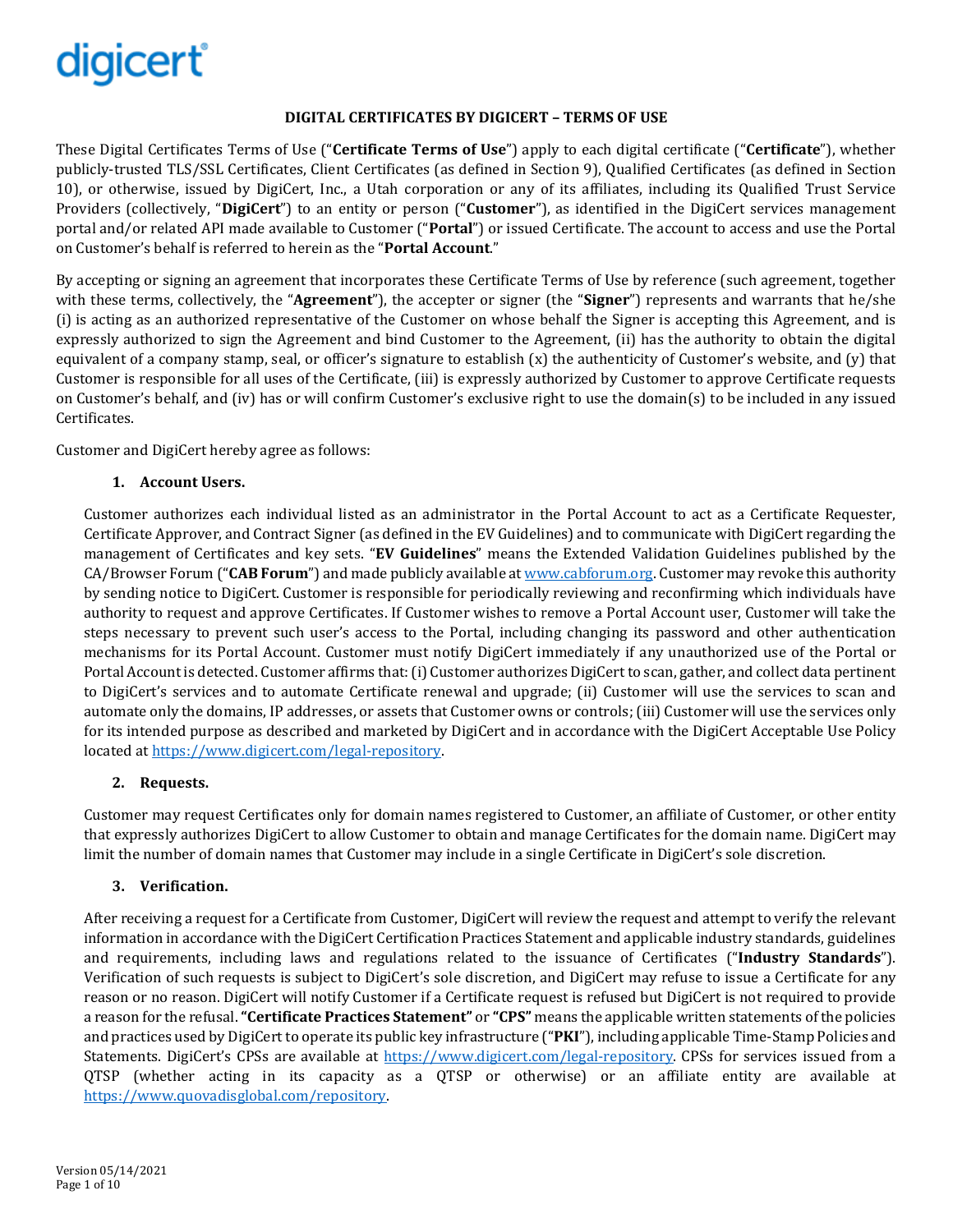# digicert®

## **DIGITAL CERTIFICATES BY DIGICERT – TERMS OF USE**

These Digital Certificates Terms of Use ("**Certificate Terms of Use**") apply to each digital certificate ("**Certificate**"), whether publicly-trusted TLS/SSL Certificates, Client Certificates (as defined in Section [9\)](#page-2-0), Qualified Certificates (as defined in Section [10\)](#page-2-1), or otherwise, issued by DigiCert, Inc., a Utah corporation or any of its affiliates, including its Qualified Trust Service Providers (collectively, "**DigiCert**") to an entity or person ("**Customer**"), as identified in the DigiCert services management portal and/or related API made available to Customer ("**Portal**") or issued Certificate. The account to access and use the Portal on Customer's behalf is referred to herein as the "**Portal Account**."

By accepting or signing an agreement that incorporates these Certificate Terms of Use by reference (such agreement, together with these terms, collectively, the "Agreement"), the accepter or signer (the "Signer") represents and warrants that he/she (i) is acting as an authorized representative of the Customer on whose behalf the Signer is accepting this Agreement, and is expressly authorized to sign the Agreement and bind Customer to the Agreement, (ii) has the authority to obtain the digital equivalent of a company stamp, seal, or officer's signature to establish  $(x)$  the authenticity of Customer's website, and  $(y)$  that Customer is responsible for all uses of the Certificate, (iii) is expressly authorized by Customer to approve Certificate requests on Customer's behalf, and (iv) has or will confirm Customer's exclusive right to use the domain(s) to be included in any issued Certificates.

Customer and DigiCert hereby agree as follows:

## **1. Account Users.**

Customer authorizes each individual listed as an administrator in the Portal Account to act as a Certificate Requester, Certificate Approver, and Contract Signer (as defined in the EV Guidelines) and to communicate with DigiCert regarding the management of Certificates and key sets. "**EV Guidelines**" means the Extended Validation Guidelines published by the CA/Browser Forum ("**CAB Forum**") and made publicly available a[t www.cabforum.org.](http://www.cabforum.org/) Customer may revoke this authority by sending notice to DigiCert. Customer is responsible for periodically reviewing and reconfirming which individuals have authority to request and approve Certificates. If Customer wishes to remove a Portal Account user, Customer will take the steps necessary to prevent such user's access to the Portal, including changing its password and other authentication mechanisms for its Portal Account. Customer must notify DigiCert immediately if any unauthorized use of the Portal or Portal Account is detected. Customer affirms that: (i) Customer authorizes DigiCert to scan, gather, and collect data pertinent to DigiCert's services and to automate Certificate renewal and upgrade; (ii) Customer will use the services to scan and automate only the domains, IP addresses, or assets that Customer owns or controls; (iii) Customer will use the services only for its intended purpose as described and marketed by DigiCert and in accordance with the DigiCert Acceptable Use Policy located at [https://www.digicert.com/legal-repository.](https://www.digicert.com/legal-repository)

## **2. Requests.**

Customer may request Certificates only for domain names registered to Customer, an affiliate of Customer, or other entity that expressly authorizes DigiCert to allow Customer to obtain and manage Certificates for the domain name. DigiCert may limit the number of domain names that Customer may include in a single Certificate in DigiCert's sole discretion.

## **3. Verification.**

After receiving a request for a Certificate from Customer, DigiCert will review the request and attempt to verify the relevant information in accordance with the DigiCert Certification Practices Statement and applicable industry standards, guidelines and requirements, including laws and regulations related to the issuance of Certificates ("**Industry Standards**"). Verification of such requests is subject to DigiCert's sole discretion, and DigiCert may refuse to issue a Certificate for any reason or no reason. DigiCert will notify Customer if a Certificate request is refused but DigiCert is not required to provide a reason for the refusal. **"Certificate Practices Statement"** or **"CPS"** means the applicable written statements of the policies and practices used by DigiCert to operate its public key infrastructure ("**PKI**"), including applicable Time-Stamp Policies and Statements. DigiCert's CPSs are available at [https://www.digicert.com/legal-repository.](https://www.digicert.com/legal-repository) CPSs for services issued from a QTSP (whether acting in its capacity as a QTSP or otherwise) or an affiliate entity are available at [https://www.quovadisglobal.com/repository.](https://www.quovadisglobal.com/repository)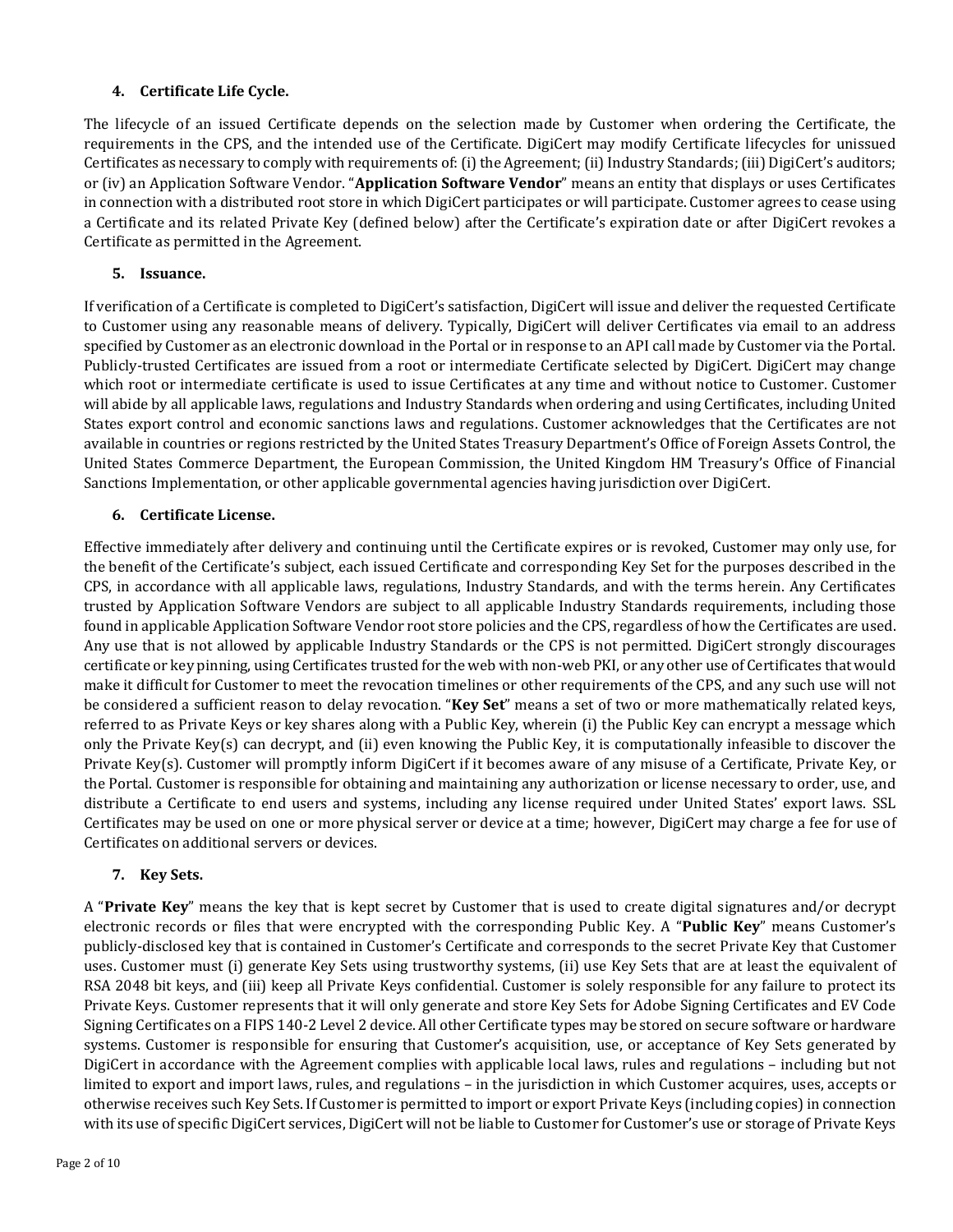## **4. Certificate Life Cycle.**

The lifecycle of an issued Certificate depends on the selection made by Customer when ordering the Certificate, the requirements in the CPS, and the intended use of the Certificate. DigiCert may modify Certificate lifecycles for unissued Certificates as necessary to comply with requirements of: (i) the Agreement; (ii) Industry Standards; (iii) DigiCert's auditors; or (iv) an Application Software Vendor. "**Application Software Vendor**" means an entity that displays or uses Certificates in connection with a distributed root store in which DigiCert participates or will participate. Customer agrees to cease using a Certificate and its related Private Key (defined below) after the Certificate's expiration date or after DigiCert revokes a Certificate as permitted in the Agreement.

## **5. Issuance.**

If verification of a Certificate is completed to DigiCert's satisfaction, DigiCert will issue and deliver the requested Certificate to Customer using any reasonable means of delivery. Typically, DigiCert will deliver Certificates via email to an address specified by Customer as an electronic download in the Portal or in response to an API call made by Customer via the Portal. Publicly-trusted Certificates are issued from a root or intermediate Certificate selected by DigiCert. DigiCert may change which root or intermediate certificate is used to issue Certificates at any time and without notice to Customer. Customer will abide by all applicable laws, regulations and Industry Standards when ordering and using Certificates, including United States export control and economic sanctions laws and regulations. Customer acknowledges that the Certificates are not available in countries or regions restricted by the United States Treasury Department's Office of Foreign Assets Control, the United States Commerce Department, the European Commission, the United Kingdom HM Treasury's Office of Financial Sanctions Implementation, or other applicable governmental agencies having jurisdiction over DigiCert.

## **6. Certificate License.**

Effective immediately after delivery and continuing until the Certificate expires or is revoked, Customer may only use, for the benefit of the Certificate's subject, each issued Certificate and corresponding Key Set for the purposes described in the CPS, in accordance with all applicable laws, regulations, Industry Standards, and with the terms herein. Any Certificates trusted by Application Software Vendors are subject to all applicable Industry Standards requirements, including those found in applicable Application Software Vendor root store policies and the CPS, regardless of how the Certificates are used. Any use that is not allowed by applicable Industry Standards or the CPS is not permitted. DigiCert strongly discourages certificate or key pinning, using Certificates trusted for the web with non-web PKI, or any other use of Certificates that would make it difficult for Customer to meet the revocation timelines or other requirements of the CPS, and any such use will not be considered a sufficient reason to delay revocation. "**Key Set**" means a set of two or more mathematically related keys, referred to as Private Keys or key shares along with a Public Key, wherein (i) the Public Key can encrypt a message which only the Private Key(s) can decrypt, and (ii) even knowing the Public Key, it is computationally infeasible to discover the Private Key(s). Customer will promptly inform DigiCert if it becomes aware of any misuse of a Certificate, Private Key, or the Portal. Customer is responsible for obtaining and maintaining any authorization or license necessary to order, use, and distribute a Certificate to end users and systems, including any license required under United States' export laws. SSL Certificates may be used on one or more physical server or device at a time; however, DigiCert may charge a fee for use of Certificates on additional servers or devices.

# **7. Key Sets.**

A "**Private Key**" means the key that is kept secret by Customer that is used to create digital signatures and/or decrypt electronic records or files that were encrypted with the corresponding Public Key. A "**Public Key**" means Customer's publicly-disclosed key that is contained in Customer's Certificate and corresponds to the secret Private Key that Customer uses. Customer must (i) generate Key Sets using trustworthy systems, (ii) use Key Sets that are at least the equivalent of RSA 2048 bit keys, and (iii) keep all Private Keys confidential. Customer is solely responsible for any failure to protect its Private Keys. Customer represents that it will only generate and store Key Sets for Adobe Signing Certificates and EV Code Signing Certificates on a FIPS 140-2 Level 2 device. All other Certificate types may be stored on secure software or hardware systems. Customer is responsible for ensuring that Customer's acquisition, use, or acceptance of Key Sets generated by DigiCert in accordance with the Agreement complies with applicable local laws, rules and regulations – including but not limited to export and import laws, rules, and regulations – in the jurisdiction in which Customer acquires, uses, accepts or otherwise receives such Key Sets. If Customer is permitted to import or export Private Keys (including copies) in connection with its use of specific DigiCert services, DigiCert will not be liable to Customer for Customer's use or storage of Private Keys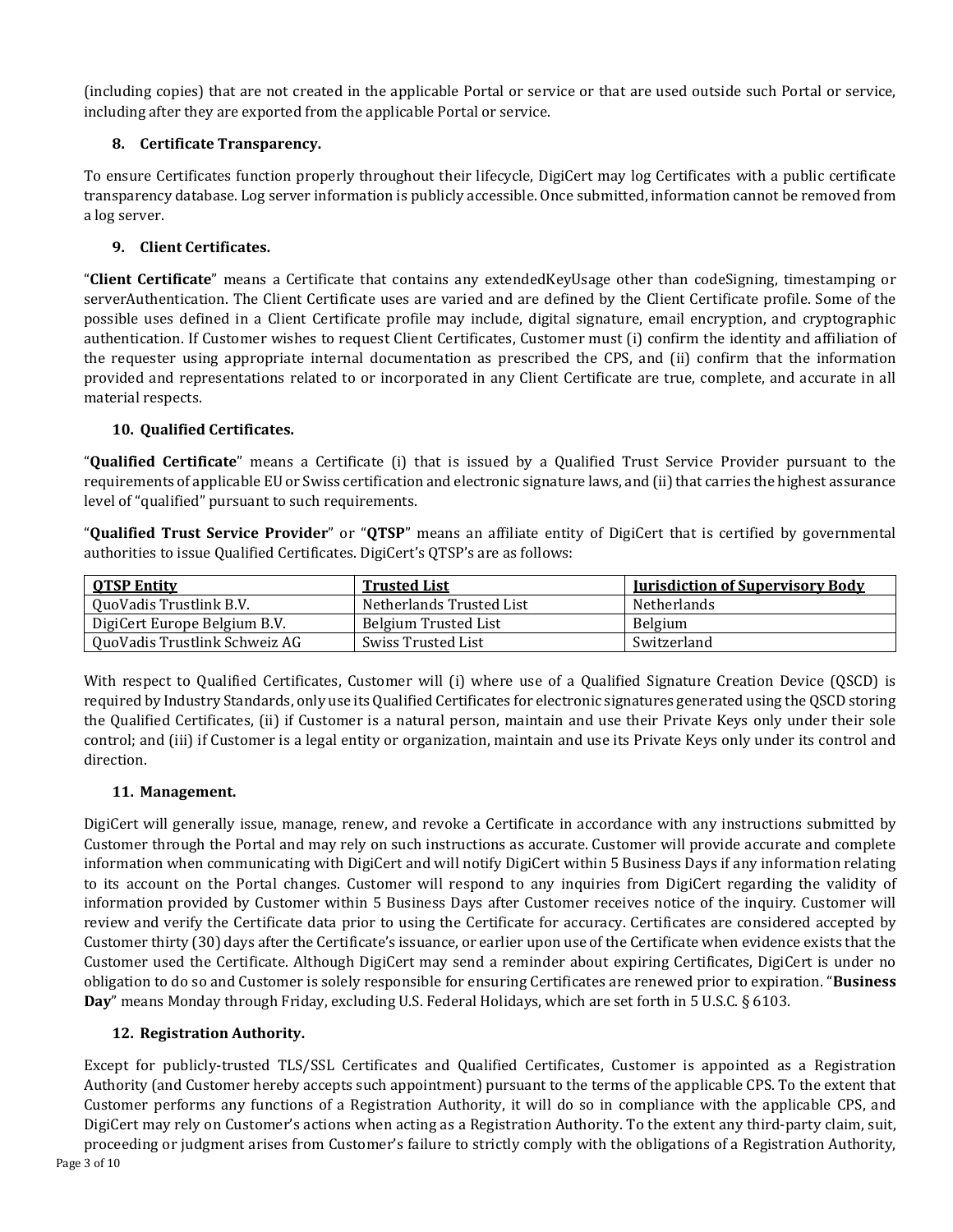(including copies) that are not created in the applicable Portal or service or that are used outside such Portal or service, including after they are exported from the applicable Portal or service.

# **8. Certificate Transparency.**

To ensure Certificates function properly throughout their lifecycle, DigiCert may log Certificates with a public certificate transparency database. Log server information is publicly accessible. Once submitted, information cannot be removed from a log server.

## **9. Client Certificates.**

<span id="page-2-0"></span>"**Client Certificate**" means a Certificate that contains any extendedKeyUsage other than codeSigning, timestamping or serverAuthentication. The Client Certificate uses are varied and are defined by the Client Certificate profile. Some of the possible uses defined in a Client Certificate profile may include, digital signature, email encryption, and cryptographic authentication. If Customer wishes to request Client Certificates, Customer must (i) confirm the identity and affiliation of the requester using appropriate internal documentation as prescribed the CPS, and (ii) confirm that the information provided and representations related to or incorporated in any Client Certificate are true, complete, and accurate in all material respects.

## **10. Qualified Certificates.**

<span id="page-2-1"></span>"**Qualified Certificate**" means a Certificate (i) that is issued by a Qualified Trust Service Provider pursuant to the requirements of applicable EU or Swiss certification and electronic signature laws, and (ii) that carries the highest assurance level of "qualified" pursuant to such requirements.

"**Qualified Trust Service Provider**" or "**QTSP**" means an affiliate entity of DigiCert that is certified by governmental authorities to issue Qualified Certificates. DigiCert's QTSP's are as follows:

| <b>OTSP Entity</b>            | <b>Trusted List</b>      | <b>Iurisdiction of Supervisory Body</b> |
|-------------------------------|--------------------------|-----------------------------------------|
| QuoVadis Trustlink B.V.       | Netherlands Trusted List | <b>Netherlands</b>                      |
| DigiCert Europe Belgium B.V.  | Belgium Trusted List     | Belgium                                 |
| QuoVadis Trustlink Schweiz AG | Swiss Trusted List       | Switzerland                             |

With respect to Qualified Certificates, Customer will (i) where use of a Qualified Signature Creation Device (QSCD) is required by Industry Standards, only use its Qualified Certificates for electronic signatures generated using the QSCD storing the Qualified Certificates, (ii) if Customer is a natural person, maintain and use their Private Keys only under their sole control; and (iii) if Customer is a legal entity or organization, maintain and use its Private Keys only under its control and direction.

## **11. Management.**

DigiCert will generally issue, manage, renew, and revoke a Certificate in accordance with any instructions submitted by Customer through the Portal and may rely on such instructions as accurate. Customer will provide accurate and complete information when communicating with DigiCert and will notify DigiCert within 5 Business Days if any information relating to its account on the Portal changes. Customer will respond to any inquiries from DigiCert regarding the validity of information provided by Customer within 5 Business Days after Customer receives notice of the inquiry. Customer will review and verify the Certificate data prior to using the Certificate for accuracy. Certificates are considered accepted by Customer thirty (30) days after the Certificate's issuance, or earlier upon use of the Certificate when evidence exists that the Customer used the Certificate. Although DigiCert may send a reminder about expiring Certificates, DigiCert is under no obligation to do so and Customer is solely responsible for ensuring Certificates are renewed prior to expiration. "**Business Day**" means Monday through Friday, excluding U.S. Federal Holidays, which are set forth in 5 U.S.C. § 6103.

# **12. Registration Authority.**

Except for publicly-trusted TLS/SSL Certificates and Qualified Certificates, Customer is appointed as a Registration Authority (and Customer hereby accepts such appointment) pursuant to the terms of the applicable CPS. To the extent that Customer performs any functions of a Registration Authority, it will do so in compliance with the applicable CPS, and DigiCert may rely on Customer's actions when acting as a Registration Authority. To the extent any third-party claim, suit, proceeding or judgment arises from Customer's failure to strictly comply with the obligations of a Registration Authority,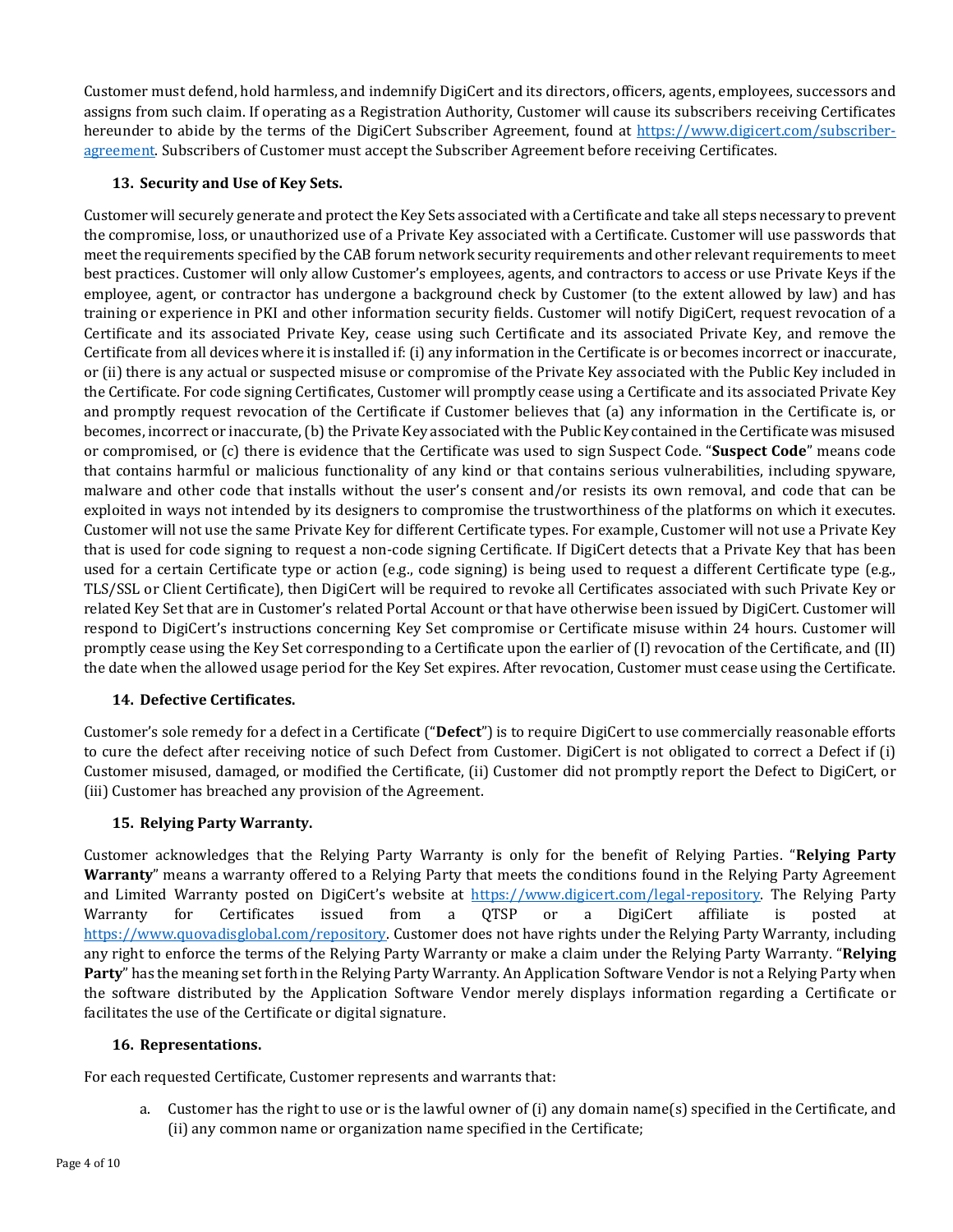Customer must defend, hold harmless, and indemnify DigiCert and its directors, officers, agents, employees, successors and assigns from such claim. If operating as a Registration Authority, Customer will cause its subscribers receiving Certificates hereunder to abide by the terms of the DigiCert Subscriber Agreement, found at [https://www.digicert.com/subscriber](https://www.digicert.com/subscriber-agreement)[agreement.](https://www.digicert.com/subscriber-agreement) Subscribers of Customer must accept the Subscriber Agreement before receiving Certificates.

## **13. Security and Use of Key Sets.**

Customer will securely generate and protect the Key Sets associated with a Certificate and take all steps necessary to prevent the compromise, loss, or unauthorized use of a Private Key associated with a Certificate. Customer will use passwords that meet the requirements specified by the CAB forum network security requirements and other relevant requirements to meet best practices. Customer will only allow Customer's employees, agents, and contractors to access or use Private Keys if the employee, agent, or contractor has undergone a background check by Customer (to the extent allowed by law) and has training or experience in PKI and other information security fields. Customer will notify DigiCert, request revocation of a Certificate and its associated Private Key, cease using such Certificate and its associated Private Key, and remove the Certificate from all devices where it is installed if: (i) any information in the Certificate is or becomes incorrect or inaccurate, or (ii) there is any actual or suspected misuse or compromise of the Private Key associated with the Public Key included in the Certificate. For code signing Certificates, Customer will promptly cease using a Certificate and its associated Private Key and promptly request revocation of the Certificate if Customer believes that (a) any information in the Certificate is, or becomes, incorrect or inaccurate, (b) the Private Key associated with the Public Key contained in the Certificate was misused or compromised, or (c) there is evidence that the Certificate was used to sign Suspect Code. "**Suspect Code**" means code that contains harmful or malicious functionality of any kind or that contains serious vulnerabilities, including spyware, malware and other code that installs without the user's consent and/or resists its own removal, and code that can be exploited in ways not intended by its designers to compromise the trustworthiness of the platforms on which it executes. Customer will not use the same Private Key for different Certificate types. For example, Customer will not use a Private Key that is used for code signing to request a non-code signing Certificate. If DigiCert detects that a Private Key that has been used for a certain Certificate type or action (e.g., code signing) is being used to request a different Certificate type (e.g., TLS/SSL or Client Certificate), then DigiCert will be required to revoke all Certificates associated with such Private Key or related Key Set that are in Customer's related Portal Account or that have otherwise been issued by DigiCert. Customer will respond to DigiCert's instructions concerning Key Set compromise or Certificate misuse within 24 hours. Customer will promptly cease using the Key Set corresponding to a Certificate upon the earlier of (I) revocation of the Certificate, and (II) the date when the allowed usage period for the Key Set expires. After revocation, Customer must cease using the Certificate.

## **14. Defective Certificates.**

Customer's sole remedy for a defect in a Certificate ("**Defect**") is to require DigiCert to use commercially reasonable efforts to cure the defect after receiving notice of such Defect from Customer. DigiCert is not obligated to correct a Defect if (i) Customer misused, damaged, or modified the Certificate, (ii) Customer did not promptly report the Defect to DigiCert, or (iii) Customer has breached any provision of the Agreement.

# **15. Relying Party Warranty.**

Customer acknowledges that the Relying Party Warranty is only for the benefit of Relying Parties. "**Relying Party Warranty**" means a warranty offered to a Relying Party that meets the conditions found in the Relying Party Agreement and Limited Warranty posted on DigiCert's website at [https://www.digicert.com/legal-repository.](https://www.digicert.com/legal-repository) The Relying Party<br>Warranty for Certificates issued from a QTSP or a DigiCert affiliate is posted at Warranty for Certificates issued from a QTSP or a DigiCert affiliate is posted at [https://www.quovadisglobal.com/repository.](https://www.quovadisglobal.com/repository) Customer does not have rights under the Relying Party Warranty, including any right to enforce the terms of the Relying Party Warranty or make a claim under the Relying Party Warranty. "**Relying Party**" has the meaning set forth in the Relying Party Warranty. An Application Software Vendor is not a Relying Party when the software distributed by the Application Software Vendor merely displays information regarding a Certificate or facilitates the use of the Certificate or digital signature.

## **16. Representations.**

For each requested Certificate, Customer represents and warrants that:

a. Customer has the right to use or is the lawful owner of (i) any domain name(s) specified in the Certificate, and (ii) any common name or organization name specified in the Certificate;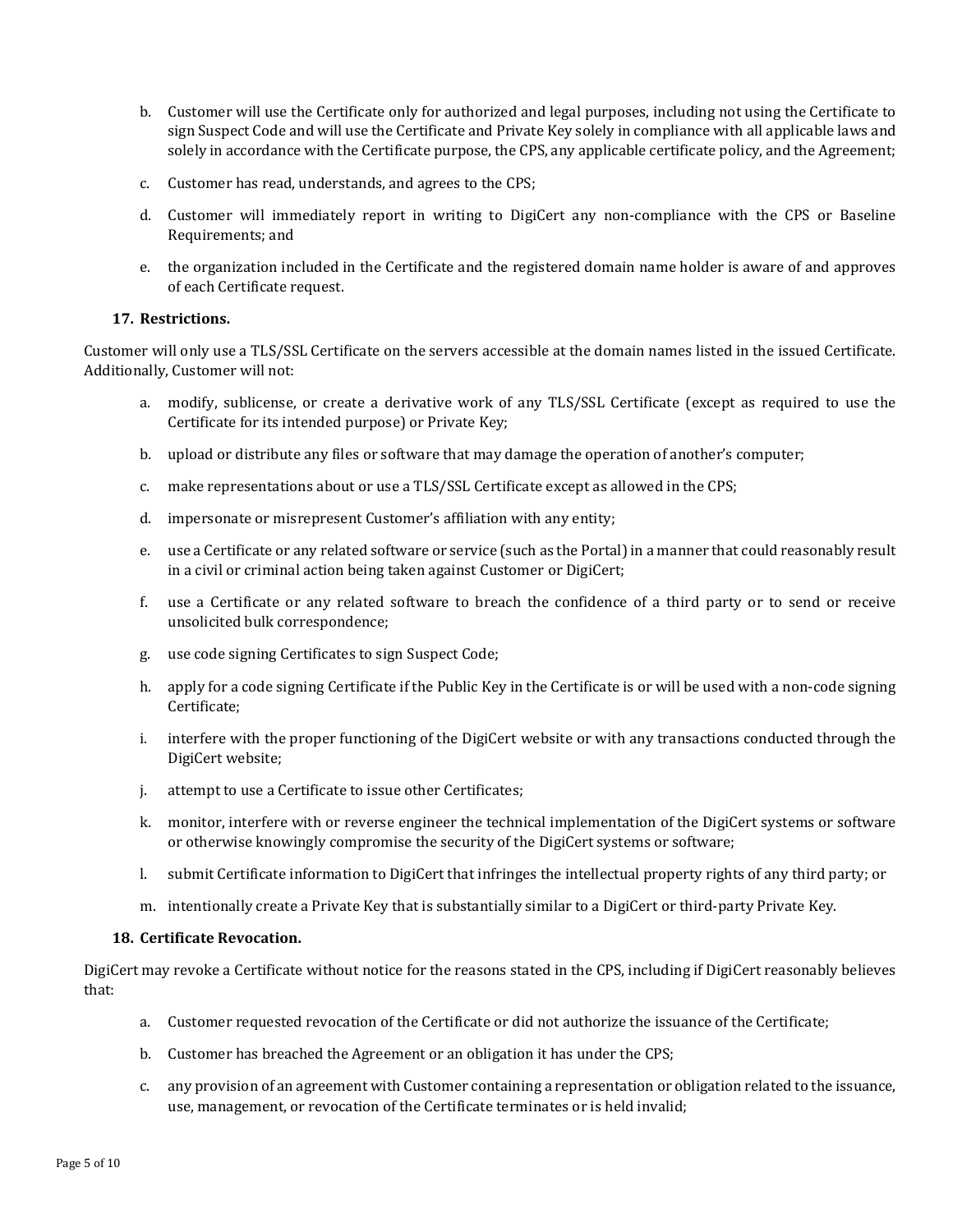- b. Customer will use the Certificate only for authorized and legal purposes, including not using the Certificate to sign Suspect Code and will use the Certificate and Private Key solely in compliance with all applicable laws and solely in accordance with the Certificate purpose, the CPS, any applicable certificate policy, and the Agreement;
- c. Customer has read, understands, and agrees to the CPS;
- d. Customer will immediately report in writing to DigiCert any non-compliance with the CPS or Baseline Requirements; and
- e. the organization included in the Certificate and the registered domain name holder is aware of and approves of each Certificate request.

#### **17. Restrictions.**

Customer will only use a TLS/SSL Certificate on the servers accessible at the domain names listed in the issued Certificate. Additionally, Customer will not:

- a. modify, sublicense, or create a derivative work of any TLS/SSL Certificate (except as required to use the Certificate for its intended purpose) or Private Key;
- b. upload or distribute any files or software that may damage the operation of another's computer;
- c. make representations about or use a TLS/SSL Certificate except as allowed in the CPS;
- d. impersonate or misrepresent Customer's affiliation with any entity;
- e. use a Certificate or any related software or service (such as the Portal) in a manner that could reasonably result in a civil or criminal action being taken against Customer or DigiCert;
- f. use a Certificate or any related software to breach the confidence of a third party or to send or receive unsolicited bulk correspondence;
- g. use code signing Certificates to sign Suspect Code;
- h. apply for a code signing Certificate if the Public Key in the Certificate is or will be used with a non-code signing Certificate;
- i. interfere with the proper functioning of the DigiCert website or with any transactions conducted through the DigiCert website;
- j. attempt to use a Certificate to issue other Certificates;
- k. monitor, interfere with or reverse engineer the technical implementation of the DigiCert systems or software or otherwise knowingly compromise the security of the DigiCert systems or software;
- l. submit Certificate information to DigiCert that infringes the intellectual property rights of any third party; or
- m. intentionally create a Private Key that is substantially similar to a DigiCert or third-party Private Key.

#### **18. Certificate Revocation.**

DigiCert may revoke a Certificate without notice for the reasons stated in the CPS, including if DigiCert reasonably believes that:

- a. Customer requested revocation of the Certificate or did not authorize the issuance of the Certificate;
- b. Customer has breached the Agreement or an obligation it has under the CPS;
- c. any provision of an agreement with Customer containing a representation or obligation related to the issuance, use, management, or revocation of the Certificate terminates or is held invalid;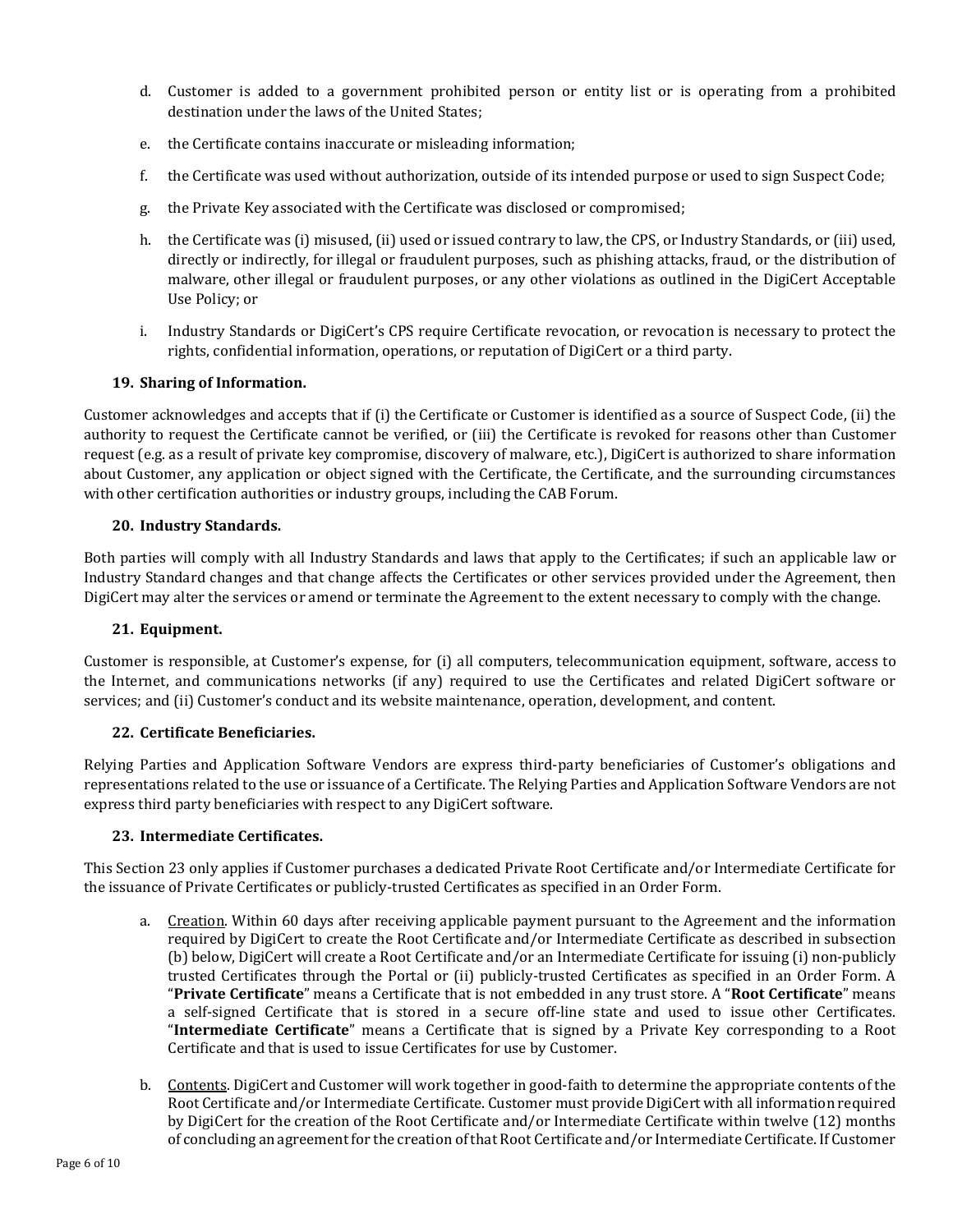- d. Customer is added to a government prohibited person or entity list or is operating from a prohibited destination under the laws of the United States;
- e. the Certificate contains inaccurate or misleading information;
- f. the Certificate was used without authorization, outside of its intended purpose or used to sign Suspect Code;
- g. the Private Key associated with the Certificate was disclosed or compromised;
- h. the Certificate was (i) misused, (ii) used or issued contrary to law, the CPS, or Industry Standards, or (iii) used, directly or indirectly, for illegal or fraudulent purposes, such as phishing attacks, fraud, or the distribution of malware, other illegal or fraudulent purposes, or any other violations as outlined in the DigiCert Acceptable Use Policy; or
- i. Industry Standards or DigiCert's CPS require Certificate revocation, or revocation is necessary to protect the rights, confidential information, operations, or reputation of DigiCert or a third party.

#### **19. Sharing of Information.**

Customer acknowledges and accepts that if (i) the Certificate or Customer is identified as a source of Suspect Code, (ii) the authority to request the Certificate cannot be verified, or (iii) the Certificate is revoked for reasons other than Customer request (e.g. as a result of private key compromise, discovery of malware, etc.), DigiCert is authorized to share information about Customer, any application or object signed with the Certificate, the Certificate, and the surrounding circumstances with other certification authorities or industry groups, including the CAB Forum.

#### **20. Industry Standards.**

Both parties will comply with all Industry Standards and laws that apply to the Certificates; if such an applicable law or Industry Standard changes and that change affects the Certificates or other services provided under the Agreement, then DigiCert may alter the services or amend or terminate the Agreement to the extent necessary to comply with the change.

#### **21. Equipment.**

Customer is responsible, at Customer's expense, for (i) all computers, telecommunication equipment, software, access to the Internet, and communications networks (if any) required to use the Certificates and related DigiCert software or services; and (ii) Customer's conduct and its website maintenance, operation, development, and content.

#### **22. Certificate Beneficiaries.**

Relying Parties and Application Software Vendors are express third-party beneficiaries of Customer's obligations and representations related to the use or issuance of a Certificate. The Relying Parties and Application Software Vendors are not express third party beneficiaries with respect to any DigiCert software.

#### **23. Intermediate Certificates.**

<span id="page-5-0"></span>This Sectio[n 23](#page-5-0) only applies if Customer purchases a dedicated Private Root Certificate and/or Intermediate Certificate for the issuance of Private Certificates or publicly-trusted Certificates as specified in an Order Form.

- a. Creation. Within 60 days after receiving applicable payment pursuant to the Agreement and the information required by DigiCert to create the Root Certificate and/or Intermediate Certificate as described in subsection (b) below, DigiCert will create a Root Certificate and/or an Intermediate Certificate for issuing (i) non-publicly trusted Certificates through the Portal or (ii) publicly-trusted Certificates as specified in an Order Form. A "**Private Certificate**" means a Certificate that is not embedded in any trust store. A "**Root Certificate**" means a self-signed Certificate that is stored in a secure off-line state and used to issue other Certificates. "**Intermediate Certificate**" means a Certificate that is signed by a Private Key corresponding to a Root Certificate and that is used to issue Certificates for use by Customer.
- b. Contents. DigiCert and Customer will work together in good-faith to determine the appropriate contents of the Root Certificate and/or Intermediate Certificate. Customer must provide DigiCert with all information required by DigiCert for the creation of the Root Certificate and/or Intermediate Certificate within twelve (12) months of concluding an agreement for the creation of that Root Certificate and/or Intermediate Certificate. If Customer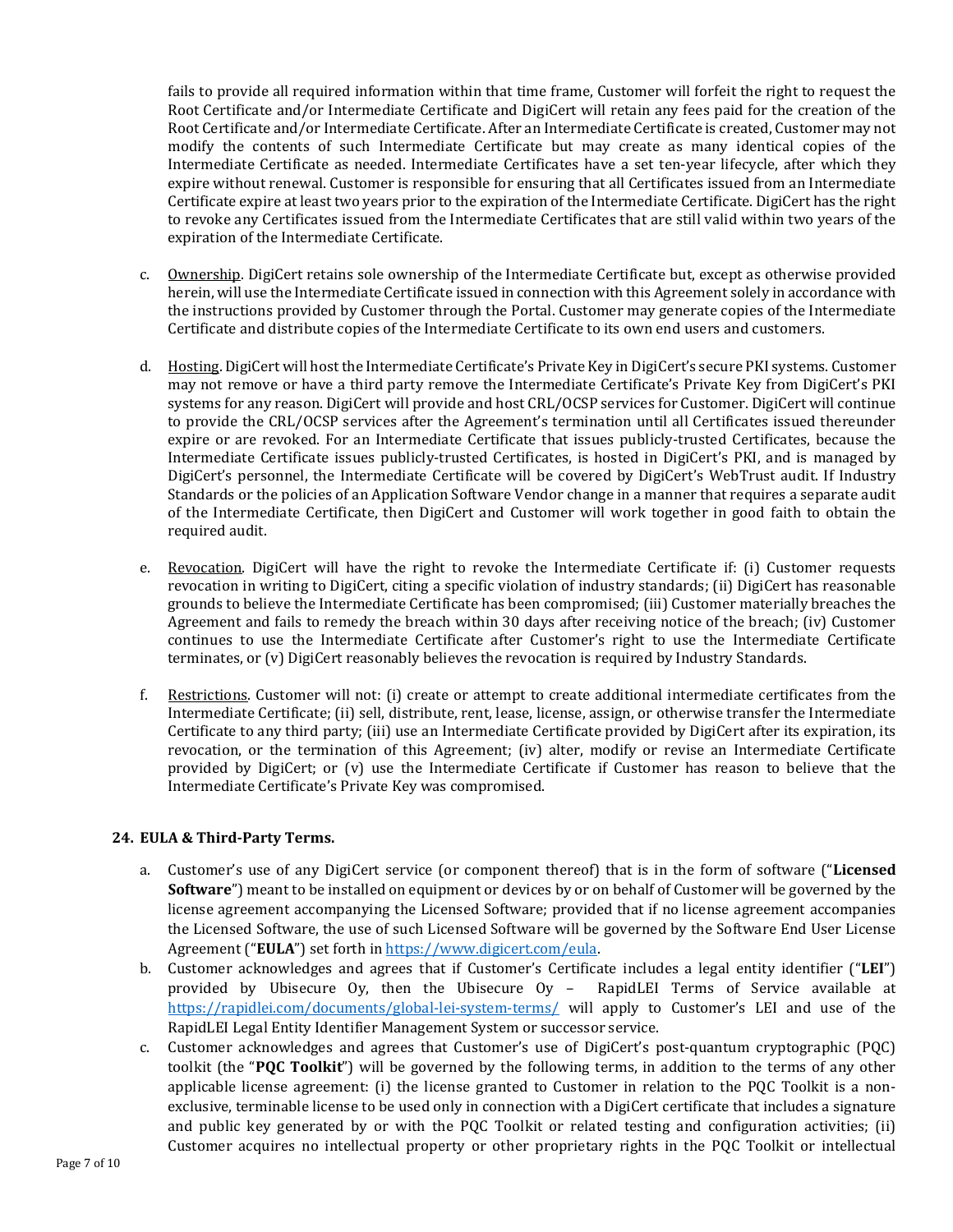fails to provide all required information within that time frame, Customer will forfeit the right to request the Root Certificate and/or Intermediate Certificate and DigiCert will retain any fees paid for the creation of the Root Certificate and/or Intermediate Certificate. After an Intermediate Certificate is created, Customer may not modify the contents of such Intermediate Certificate but may create as many identical copies of the Intermediate Certificate as needed. Intermediate Certificates have a set ten-year lifecycle, after which they expire without renewal. Customer is responsible for ensuring that all Certificates issued from an Intermediate Certificate expire at least two years prior to the expiration of the Intermediate Certificate. DigiCert has the right to revoke any Certificates issued from the Intermediate Certificates that are still valid within two years of the expiration of the Intermediate Certificate.

- c. Ownership. DigiCert retains sole ownership of the Intermediate Certificate but, except as otherwise provided herein, will use the Intermediate Certificate issued in connection with this Agreement solely in accordance with the instructions provided by Customer through the Portal. Customer may generate copies of the Intermediate Certificate and distribute copies of the Intermediate Certificate to its own end users and customers.
- d. Hosting. DigiCert will host the Intermediate Certificate's Private Key in DigiCert's secure PKI systems. Customer may not remove or have a third party remove the Intermediate Certificate's Private Key from DigiCert's PKI systems for any reason. DigiCert will provide and host CRL/OCSP services for Customer. DigiCert will continue to provide the CRL/OCSP services after the Agreement's termination until all Certificates issued thereunder expire or are revoked. For an Intermediate Certificate that issues publicly-trusted Certificates, because the Intermediate Certificate issues publicly-trusted Certificates, is hosted in DigiCert's PKI, and is managed by DigiCert's personnel, the Intermediate Certificate will be covered by DigiCert's WebTrust audit. If Industry Standards or the policies of an Application Software Vendor change in a manner that requires a separate audit of the Intermediate Certificate, then DigiCert and Customer will work together in good faith to obtain the required audit.
- e. Revocation. DigiCert will have the right to revoke the Intermediate Certificate if: (i) Customer requests revocation in writing to DigiCert, citing a specific violation of industry standards; (ii) DigiCert has reasonable grounds to believe the Intermediate Certificate has been compromised; (iii) Customer materially breaches the Agreement and fails to remedy the breach within 30 days after receiving notice of the breach; (iv) Customer continues to use the Intermediate Certificate after Customer's right to use the Intermediate Certificate terminates, or (v) DigiCert reasonably believes the revocation is required by Industry Standards.
- f. Restrictions. Customer will not: (i) create or attempt to create additional intermediate certificates from the Intermediate Certificate; (ii) sell, distribute, rent, lease, license, assign, or otherwise transfer the Intermediate Certificate to any third party; (iii) use an Intermediate Certificate provided by DigiCert after its expiration, its revocation, or the termination of this Agreement; (iv) alter, modify or revise an Intermediate Certificate provided by DigiCert; or (v) use the Intermediate Certificate if Customer has reason to believe that the Intermediate Certificate's Private Key was compromised.

#### **24. EULA & Third-Party Terms.**

- a. Customer's use of any DigiCert service (or component thereof) that is in the form of software ("**Licensed Software**") meant to be installed on equipment or devices by or on behalf of Customer will be governed by the license agreement accompanying the Licensed Software; provided that if no license agreement accompanies the Licensed Software, the use of such Licensed Software will be governed by the Software End User License Agreement ("**EULA**") set forth in [https://www.digicert.com/eula.](https://www.digicert.com/eula)
- b. Customer acknowledges and agrees that if Customer's Certificate includes a legal entity identifier ("**LEI**") provided by Ubisecure Oy, then the Ubisecure Oy – RapidLEI Terms of Service available at <https://rapidlei.com/documents/global-lei-system-terms/> will apply to Customer's LEI and use of the RapidLEI Legal Entity Identifier Management System or successor service.
- c. Customer acknowledges and agrees that Customer's use of DigiCert's post-quantum cryptographic (PQC) toolkit (the "**PQC Toolkit**") will be governed by the following terms, in addition to the terms of any other applicable license agreement: (i) the license granted to Customer in relation to the PQC Toolkit is a nonexclusive, terminable license to be used only in connection with a DigiCert certificate that includes a signature and public key generated by or with the PQC Toolkit or related testing and configuration activities; (ii) Customer acquires no intellectual property or other proprietary rights in the PQC Toolkit or intellectual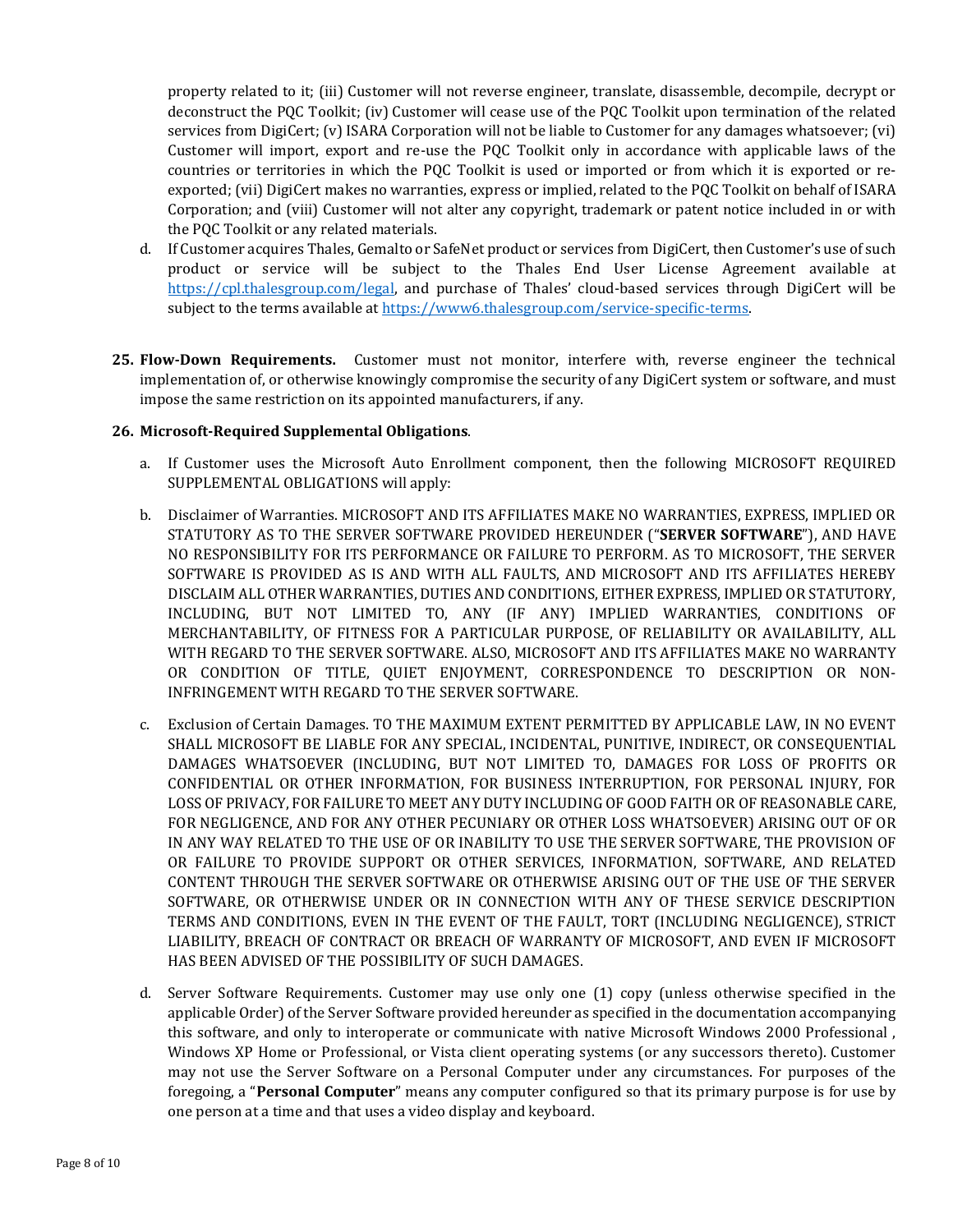property related to it; (iii) Customer will not reverse engineer, translate, disassemble, decompile, decrypt or deconstruct the PQC Toolkit; (iv) Customer will cease use of the PQC Toolkit upon termination of the related services from DigiCert; (v) ISARA Corporation will not be liable to Customer for any damages whatsoever; (vi) Customer will import, export and re-use the PQC Toolkit only in accordance with applicable laws of the countries or territories in which the PQC Toolkit is used or imported or from which it is exported or reexported; (vii) DigiCert makes no warranties, express or implied, related to the PQC Toolkit on behalf of ISARA Corporation; and (viii) Customer will not alter any copyright, trademark or patent notice included in or with the PQC Toolkit or any related materials.

- d. If Customer acquires Thales, Gemalto or SafeNet product or services from DigiCert, then Customer's use of such product or service will be subject to the Thales End User License Agreement available at [https://cpl.thalesgroup.com/legal,](https://cpl.thalesgroup.com/legal) and purchase of Thales' cloud-based services through DigiCert will be subject to the terms available at [https://www6.thalesgroup.com/service-specific-terms.](https://www6.thalesgroup.com/service-specific-terms)
- **25. Flow-Down Requirements.** Customer must not monitor, interfere with, reverse engineer the technical implementation of, or otherwise knowingly compromise the security of any DigiCert system or software, and must impose the same restriction on its appointed manufacturers, if any.

#### <span id="page-7-0"></span>**26. Microsoft-Required Supplemental Obligations**.

- a. If Customer uses the Microsoft Auto Enrollment component, then the following MICROSOFT REQUIRED SUPPLEMENTAL OBLIGATIONS will apply:
- b. Disclaimer of Warranties. MICROSOFT AND ITS AFFILIATES MAKE NO WARRANTIES, EXPRESS, IMPLIED OR STATUTORY AS TO THE SERVER SOFTWARE PROVIDED HEREUNDER ("**SERVER SOFTWARE**"), AND HAVE NO RESPONSIBILITY FOR ITS PERFORMANCE OR FAILURE TO PERFORM. AS TO MICROSOFT, THE SERVER SOFTWARE IS PROVIDED AS IS AND WITH ALL FAULTS, AND MICROSOFT AND ITS AFFILIATES HEREBY DISCLAIM ALL OTHER WARRANTIES, DUTIES AND CONDITIONS, EITHER EXPRESS, IMPLIED OR STATUTORY, INCLUDING, BUT NOT LIMITED TO, ANY (IF ANY) IMPLIED WARRANTIES, CONDITIONS OF MERCHANTABILITY, OF FITNESS FOR A PARTICULAR PURPOSE, OF RELIABILITY OR AVAILABILITY, ALL WITH REGARD TO THE SERVER SOFTWARE. ALSO, MICROSOFT AND ITS AFFILIATES MAKE NO WARRANTY OR CONDITION OF TITLE, QUIET ENJOYMENT, CORRESPONDENCE TO DESCRIPTION OR NON-INFRINGEMENT WITH REGARD TO THE SERVER SOFTWARE.
- c. Exclusion of Certain Damages. TO THE MAXIMUM EXTENT PERMITTED BY APPLICABLE LAW, IN NO EVENT SHALL MICROSOFT BE LIABLE FOR ANY SPECIAL, INCIDENTAL, PUNITIVE, INDIRECT, OR CONSEQUENTIAL DAMAGES WHATSOEVER (INCLUDING, BUT NOT LIMITED TO, DAMAGES FOR LOSS OF PROFITS OR CONFIDENTIAL OR OTHER INFORMATION, FOR BUSINESS INTERRUPTION, FOR PERSONAL INJURY, FOR LOSS OF PRIVACY, FOR FAILURE TO MEET ANY DUTY INCLUDING OF GOOD FAITH OR OF REASONABLE CARE, FOR NEGLIGENCE, AND FOR ANY OTHER PECUNIARY OR OTHER LOSS WHATSOEVER) ARISING OUT OF OR IN ANY WAY RELATED TO THE USE OF OR INABILITY TO USE THE SERVER SOFTWARE, THE PROVISION OF OR FAILURE TO PROVIDE SUPPORT OR OTHER SERVICES, INFORMATION, SOFTWARE, AND RELATED CONTENT THROUGH THE SERVER SOFTWARE OR OTHERWISE ARISING OUT OF THE USE OF THE SERVER SOFTWARE, OR OTHERWISE UNDER OR IN CONNECTION WITH ANY OF THESE SERVICE DESCRIPTION TERMS AND CONDITIONS, EVEN IN THE EVENT OF THE FAULT, TORT (INCLUDING NEGLIGENCE), STRICT LIABILITY, BREACH OF CONTRACT OR BREACH OF WARRANTY OF MICROSOFT, AND EVEN IF MICROSOFT HAS BEEN ADVISED OF THE POSSIBILITY OF SUCH DAMAGES.
- d. Server Software Requirements. Customer may use only one (1) copy (unless otherwise specified in the applicable Order) of the Server Software provided hereunder as specified in the documentation accompanying this software, and only to interoperate or communicate with native Microsoft Windows 2000 Professional , Windows XP Home or Professional, or Vista client operating systems (or any successors thereto). Customer may not use the Server Software on a Personal Computer under any circumstances. For purposes of the foregoing, a "**Personal Computer**" means any computer configured so that its primary purpose is for use by one person at a time and that uses a video display and keyboard.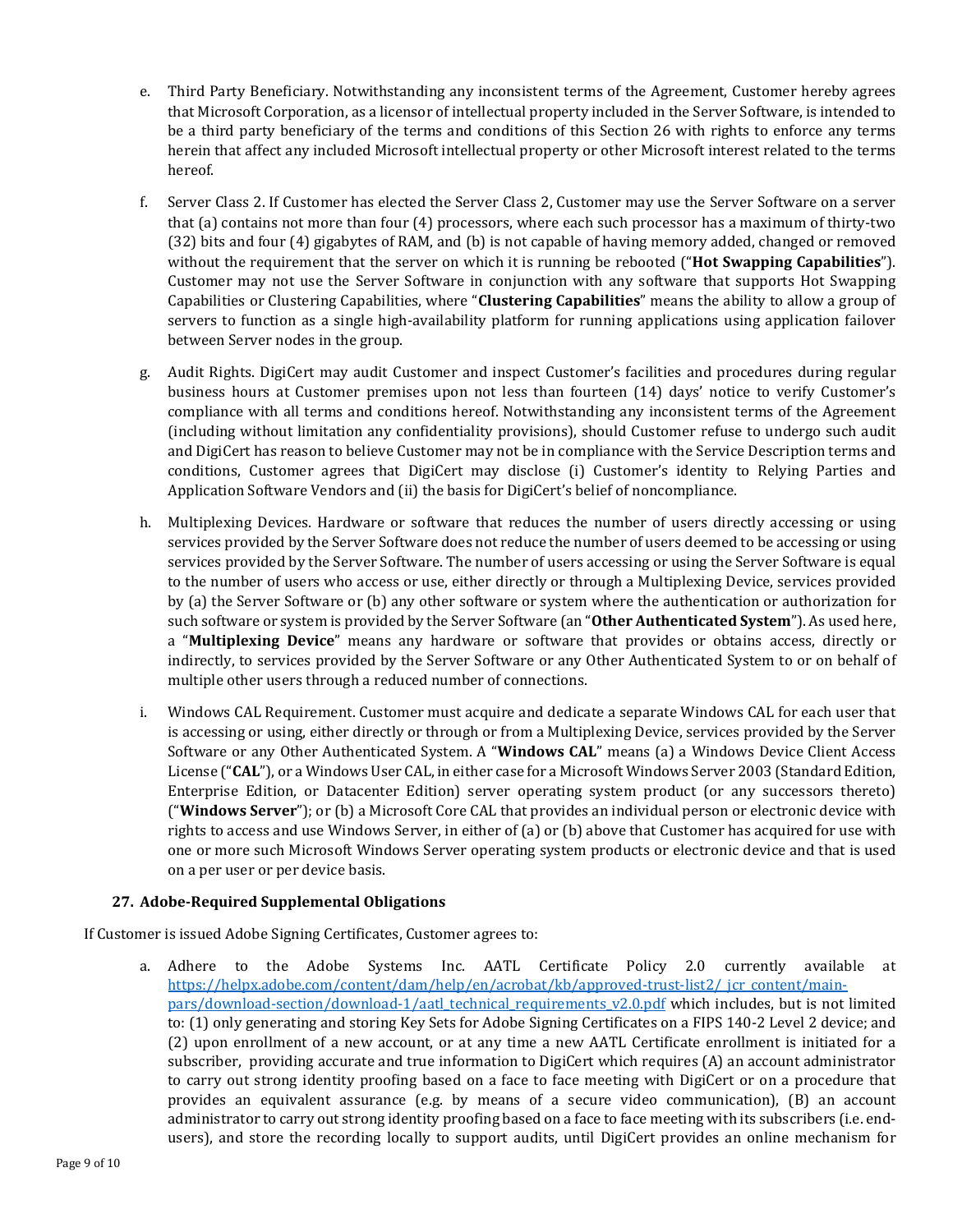- e. Third Party Beneficiary. Notwithstanding any inconsistent terms of the Agreement, Customer hereby agrees that Microsoft Corporation, as a licensor of intellectual property included in the Server Software, is intended to be a third party beneficiary of the terms and conditions of this Section [26](#page-7-0) with rights to enforce any terms herein that affect any included Microsoft intellectual property or other Microsoft interest related to the terms hereof.
- f. Server Class 2. If Customer has elected the Server Class 2, Customer may use the Server Software on a server that (a) contains not more than four (4) processors, where each such processor has a maximum of thirty-two (32) bits and four (4) gigabytes of RAM, and (b) is not capable of having memory added, changed or removed without the requirement that the server on which it is running be rebooted ("**Hot Swapping Capabilities**"). Customer may not use the Server Software in conjunction with any software that supports Hot Swapping Capabilities or Clustering Capabilities, where "**Clustering Capabilities**" means the ability to allow a group of servers to function as a single high-availability platform for running applications using application failover between Server nodes in the group.
- g. Audit Rights. DigiCert may audit Customer and inspect Customer's facilities and procedures during regular business hours at Customer premises upon not less than fourteen (14) days' notice to verify Customer's compliance with all terms and conditions hereof. Notwithstanding any inconsistent terms of the Agreement (including without limitation any confidentiality provisions), should Customer refuse to undergo such audit and DigiCert has reason to believe Customer may not be in compliance with the Service Description terms and conditions, Customer agrees that DigiCert may disclose (i) Customer's identity to Relying Parties and Application Software Vendors and (ii) the basis for DigiCert's belief of noncompliance.
- h. Multiplexing Devices. Hardware or software that reduces the number of users directly accessing or using services provided by the Server Software does not reduce the number of users deemed to be accessing or using services provided by the Server Software. The number of users accessing or using the Server Software is equal to the number of users who access or use, either directly or through a Multiplexing Device, services provided by (a) the Server Software or (b) any other software or system where the authentication or authorization for such software or system is provided by the Server Software (an "**Other Authenticated System**"). As used here, a "**Multiplexing Device**" means any hardware or software that provides or obtains access, directly or indirectly, to services provided by the Server Software or any Other Authenticated System to or on behalf of multiple other users through a reduced number of connections.
- i. Windows CAL Requirement. Customer must acquire and dedicate a separate Windows CAL for each user that is accessing or using, either directly or through or from a Multiplexing Device, services provided by the Server Software or any Other Authenticated System. A "**Windows CAL**" means (a) a Windows Device Client Access License ("**CAL**"), or a Windows User CAL, in either case for a Microsoft Windows Server 2003 (Standard Edition, Enterprise Edition, or Datacenter Edition) server operating system product (or any successors thereto) ("**Windows Server**"); or (b) a Microsoft Core CAL that provides an individual person or electronic device with rights to access and use Windows Server, in either of (a) or (b) above that Customer has acquired for use with one or more such Microsoft Windows Server operating system products or electronic device and that is used on a per user or per device basis.

## **27. Adobe-Required Supplemental Obligations**

If Customer is issued Adobe Signing Certificates, Customer agrees to:

a. Adhere to the Adobe Systems Inc. AATL Certificate Policy 2.0 currently available at [https://helpx.adobe.com/content/dam/help/en/acrobat/kb/approved-trust-list2/\\_jcr\\_content/main](https://helpx.adobe.com/content/dam/help/en/acrobat/kb/approved-trust-list2/_jcr_content/main-pars/download-section/download-1/aatl_technical_requirements_v2.0.pdf)[pars/download-section/download-1/aatl\\_technical\\_requirements\\_v2.0.pdf](https://helpx.adobe.com/content/dam/help/en/acrobat/kb/approved-trust-list2/_jcr_content/main-pars/download-section/download-1/aatl_technical_requirements_v2.0.pdf) which includes, but is not limited to: (1) only generating and storing Key Sets for Adobe Signing Certificates on a FIPS 140-2 Level 2 device; and (2) upon enrollment of a new account, or at any time a new AATL Certificate enrollment is initiated for a subscriber, providing accurate and true information to DigiCert which requires (A) an account administrator to carry out strong identity proofing based on a face to face meeting with DigiCert or on a procedure that provides an equivalent assurance (e.g. by means of a secure video communication), (B) an account administrator to carry out strong identity proofing based on a face to face meeting with its subscribers (i.e. endusers), and store the recording locally to support audits, until DigiCert provides an online mechanism for